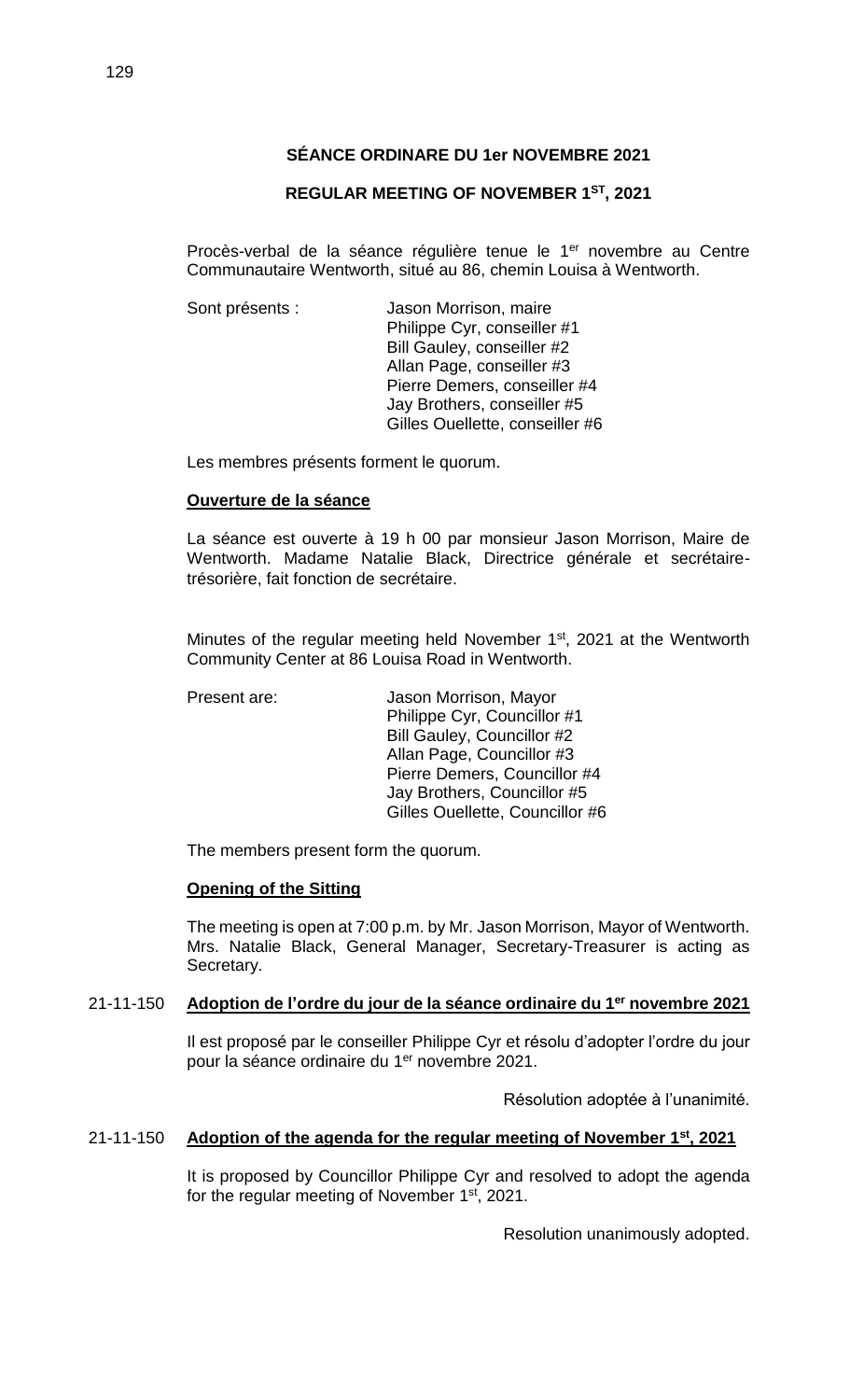## **REGULAR MEETING OF NOVEMBER 1ST, 2021**

Procès-verbal de la séance régulière tenue le 1<sup>er</sup> novembre au Centre Communautaire Wentworth, situé au 86, chemin Louisa à Wentworth.

Sont présents : Jason Morrison, maire Philippe Cyr, conseiller #1 Bill Gauley, conseiller #2 Allan Page, conseiller #3 Pierre Demers, conseiller #4 Jay Brothers, conseiller #5 Gilles Ouellette, conseiller #6

Les membres présents forment le quorum.

### **Ouverture de la séance**

La séance est ouverte à 19 h 00 par monsieur Jason Morrison, Maire de Wentworth. Madame Natalie Black, Directrice générale et secrétairetrésorière, fait fonction de secrétaire.

Minutes of the regular meeting held November 1<sup>st</sup>, 2021 at the Wentworth Community Center at 86 Louisa Road in Wentworth.

Present are: Jason Morrison, Mayor Philippe Cyr, Councillor #1 Bill Gauley, Councillor #2 Allan Page, Councillor #3 Pierre Demers, Councillor #4 Jay Brothers, Councillor #5 Gilles Ouellette, Councillor #6

The members present form the quorum.

#### **Opening of the Sitting**

The meeting is open at 7:00 p.m. by Mr. Jason Morrison, Mayor of Wentworth. Mrs. Natalie Black, General Manager, Secretary-Treasurer is acting as Secretary.

### 21-11-150 **Adoption de l'ordre du jour de la séance ordinaire du 1 er novembre 2021**

Il est proposé par le conseiller Philippe Cyr et résolu d'adopter l'ordre du jour pour la séance ordinaire du 1<sup>er</sup> novembre 2021.

Résolution adoptée à l'unanimité.

#### 21-11-150 **Adoption of the agenda for the regular meeting of November 1st , 2021**

It is proposed by Councillor Philippe Cyr and resolved to adopt the agenda for the regular meeting of November 1<sup>st</sup>, 2021.

Resolution unanimously adopted.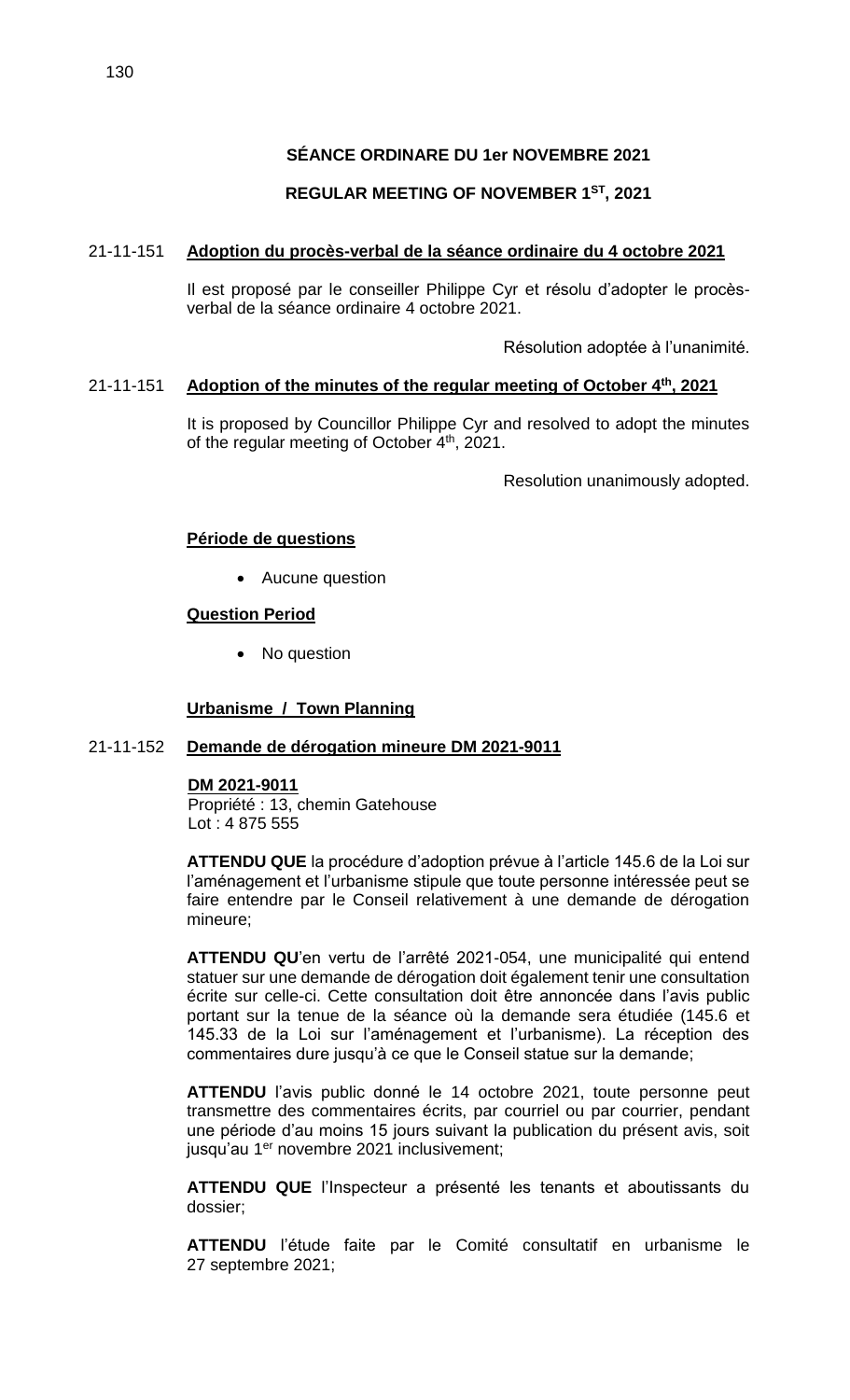# **REGULAR MEETING OF NOVEMBER 1ST, 2021**

# 21-11-151 **Adoption du procès-verbal de la séance ordinaire du 4 octobre 2021**

Il est proposé par le conseiller Philippe Cyr et résolu d'adopter le procèsverbal de la séance ordinaire 4 octobre 2021.

Résolution adoptée à l'unanimité.

# 21-11-151 **Adoption of the minutes of the regular meeting of October 4th , 2021**

It is proposed by Councillor Philippe Cyr and resolved to adopt the minutes of the regular meeting of October 4<sup>th</sup>, 2021.

Resolution unanimously adopted.

# **Période de questions**

Aucune question

## **Question Period**

• No question

# **Urbanisme / Town Planning**

### 21-11-152 **Demande de dérogation mineure DM 2021-9011**

# **DM 2021-9011**

Propriété : 13, chemin Gatehouse Lot : 4 875 555

**ATTENDU QUE** la procédure d'adoption prévue à l'article 145.6 de la Loi sur l'aménagement et l'urbanisme stipule que toute personne intéressée peut se faire entendre par le Conseil relativement à une demande de dérogation mineure;

**ATTENDU QU**'en vertu de l'arrêté 2021-054, une municipalité qui entend statuer sur une demande de dérogation doit également tenir une consultation écrite sur celle-ci. Cette consultation doit être annoncée dans l'avis public portant sur la tenue de la séance où la demande sera étudiée (145.6 et 145.33 de la Loi sur l'aménagement et l'urbanisme). La réception des commentaires dure jusqu'à ce que le Conseil statue sur la demande;

**ATTENDU** l'avis public donné le 14 octobre 2021, toute personne peut transmettre des commentaires écrits, par courriel ou par courrier, pendant une période d'au moins 15 jours suivant la publication du présent avis, soit jusqu'au 1<sup>er</sup> novembre 2021 inclusivement;

**ATTENDU QUE** l'Inspecteur a présenté les tenants et aboutissants du dossier;

**ATTENDU** l'étude faite par le Comité consultatif en urbanisme le 27 septembre 2021;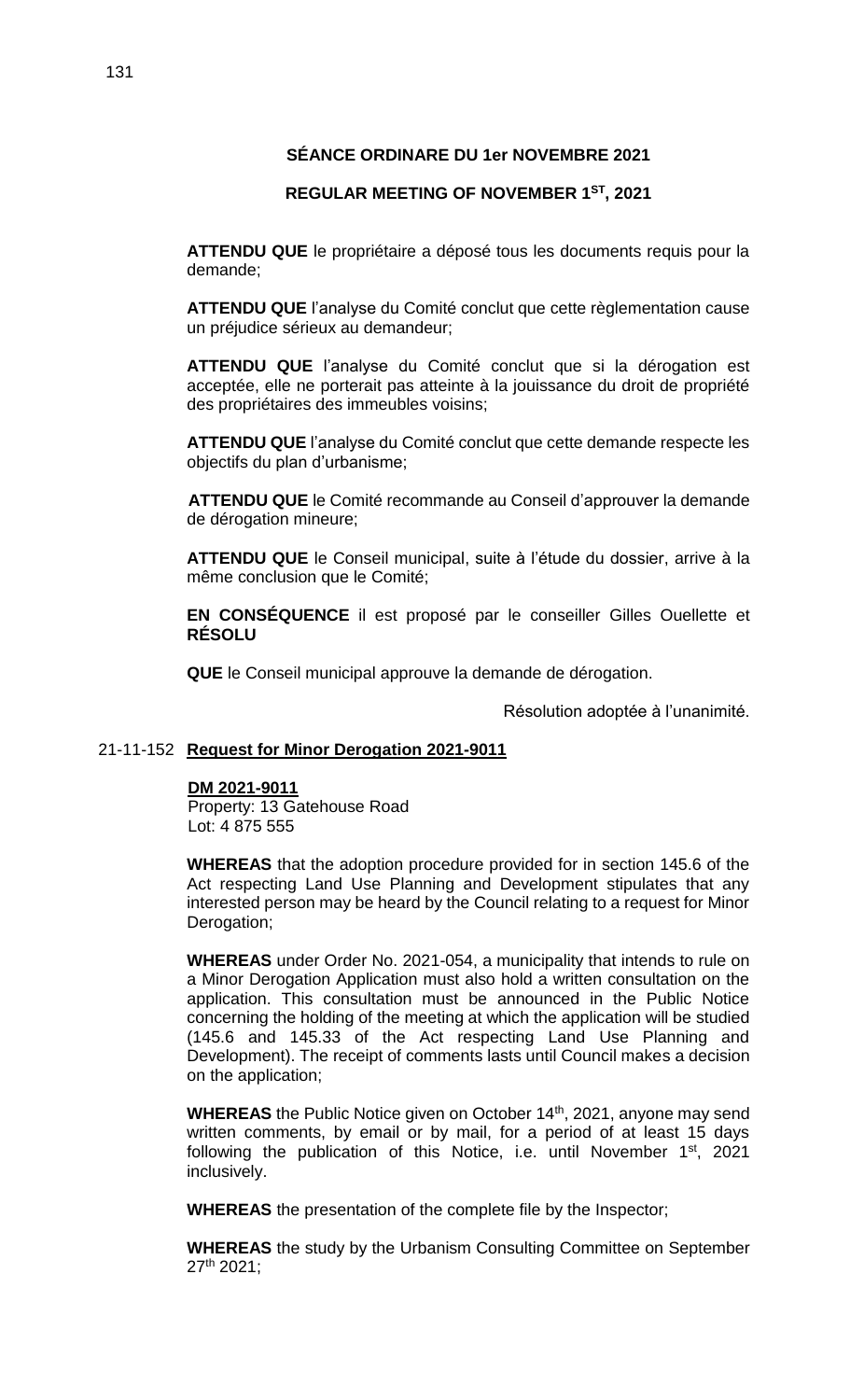## **REGULAR MEETING OF NOVEMBER 1ST, 2021**

**ATTENDU QUE** le propriétaire a déposé tous les documents requis pour la demande;

**ATTENDU QUE** l'analyse du Comité conclut que cette règlementation cause un préjudice sérieux au demandeur;

**ATTENDU QUE** l'analyse du Comité conclut que si la dérogation est acceptée, elle ne porterait pas atteinte à la jouissance du droit de propriété des propriétaires des immeubles voisins;

**ATTENDU QUE** l'analyse du Comité conclut que cette demande respecte les objectifs du plan d'urbanisme;

**ATTENDU QUE** le Comité recommande au Conseil d'approuver la demande de dérogation mineure;

**ATTENDU QUE** le Conseil municipal, suite à l'étude du dossier, arrive à la même conclusion que le Comité;

**EN CONSÉQUENCE** il est proposé par le conseiller Gilles Ouellette et **RÉSOLU**

**QUE** le Conseil municipal approuve la demande de dérogation.

Résolution adoptée à l'unanimité.

### 21-11-152 **Request for Minor Derogation 2021-9011**

#### **DM 2021-9011**

Property: 13 Gatehouse Road Lot: 4 875 555

**WHEREAS** that the adoption procedure provided for in section 145.6 of the Act respecting Land Use Planning and Development stipulates that any interested person may be heard by the Council relating to a request for Minor Derogation;

**WHEREAS** under Order No. 2021-054, a municipality that intends to rule on a Minor Derogation Application must also hold a written consultation on the application. This consultation must be announced in the Public Notice concerning the holding of the meeting at which the application will be studied (145.6 and 145.33 of the Act respecting Land Use Planning and Development). The receipt of comments lasts until Council makes a decision on the application;

**WHEREAS** the Public Notice given on October 14<sup>th</sup>, 2021, anyone may send written comments, by email or by mail, for a period of at least 15 days following the publication of this Notice, i.e. until November 1<sup>st</sup>, 2021 inclusively.

**WHEREAS** the presentation of the complete file by the Inspector;

**WHEREAS** the study by the Urbanism Consulting Committee on September 27th 2021;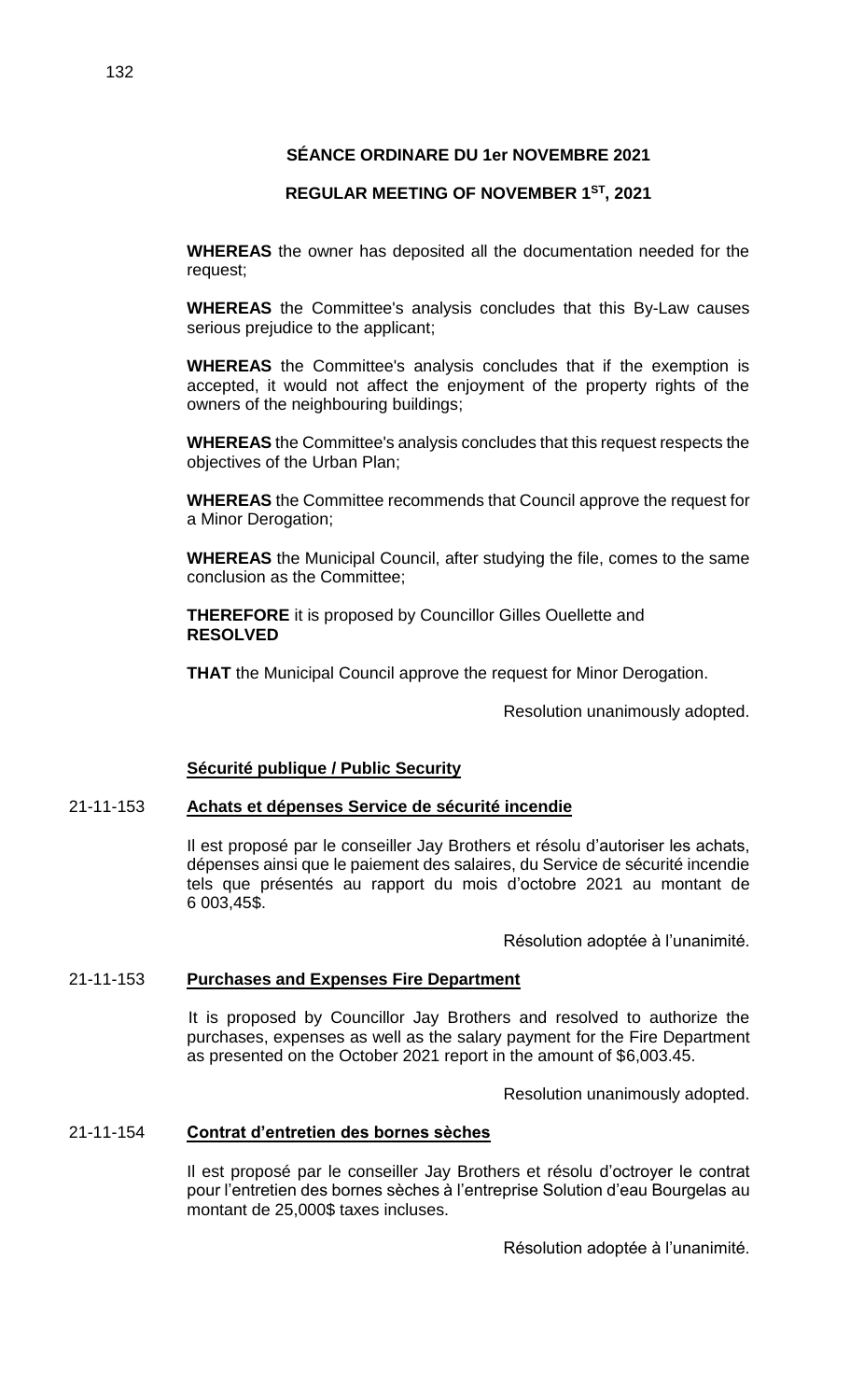# **REGULAR MEETING OF NOVEMBER 1ST, 2021**

**WHEREAS** the owner has deposited all the documentation needed for the request;

**WHEREAS** the Committee's analysis concludes that this By-Law causes serious prejudice to the applicant;

**WHEREAS** the Committee's analysis concludes that if the exemption is accepted, it would not affect the enjoyment of the property rights of the owners of the neighbouring buildings;

**WHEREAS** the Committee's analysis concludes that this request respects the objectives of the Urban Plan;

**WHEREAS** the Committee recommends that Council approve the request for a Minor Derogation;

**WHEREAS** the Municipal Council, after studying the file, comes to the same conclusion as the Committee;

**THEREFORE** it is proposed by Councillor Gilles Ouellette and **RESOLVED**

**THAT** the Municipal Council approve the request for Minor Derogation.

Resolution unanimously adopted.

# **Sécurité publique / Public Security**

### 21-11-153 **Achats et dépenses Service de sécurité incendie**

Il est proposé par le conseiller Jay Brothers et résolu d'autoriser les achats, dépenses ainsi que le paiement des salaires, du Service de sécurité incendie tels que présentés au rapport du mois d'octobre 2021 au montant de 6 003,45\$.

Résolution adoptée à l'unanimité.

### 21-11-153 **Purchases and Expenses Fire Department**

It is proposed by Councillor Jay Brothers and resolved to authorize the purchases, expenses as well as the salary payment for the Fire Department as presented on the October 2021 report in the amount of \$6,003.45.

Resolution unanimously adopted.

### 21-11-154 **Contrat d'entretien des bornes sèches**

Il est proposé par le conseiller Jay Brothers et résolu d'octroyer le contrat pour l'entretien des bornes sèches à l'entreprise Solution d'eau Bourgelas au montant de 25,000\$ taxes incluses.

Résolution adoptée à l'unanimité.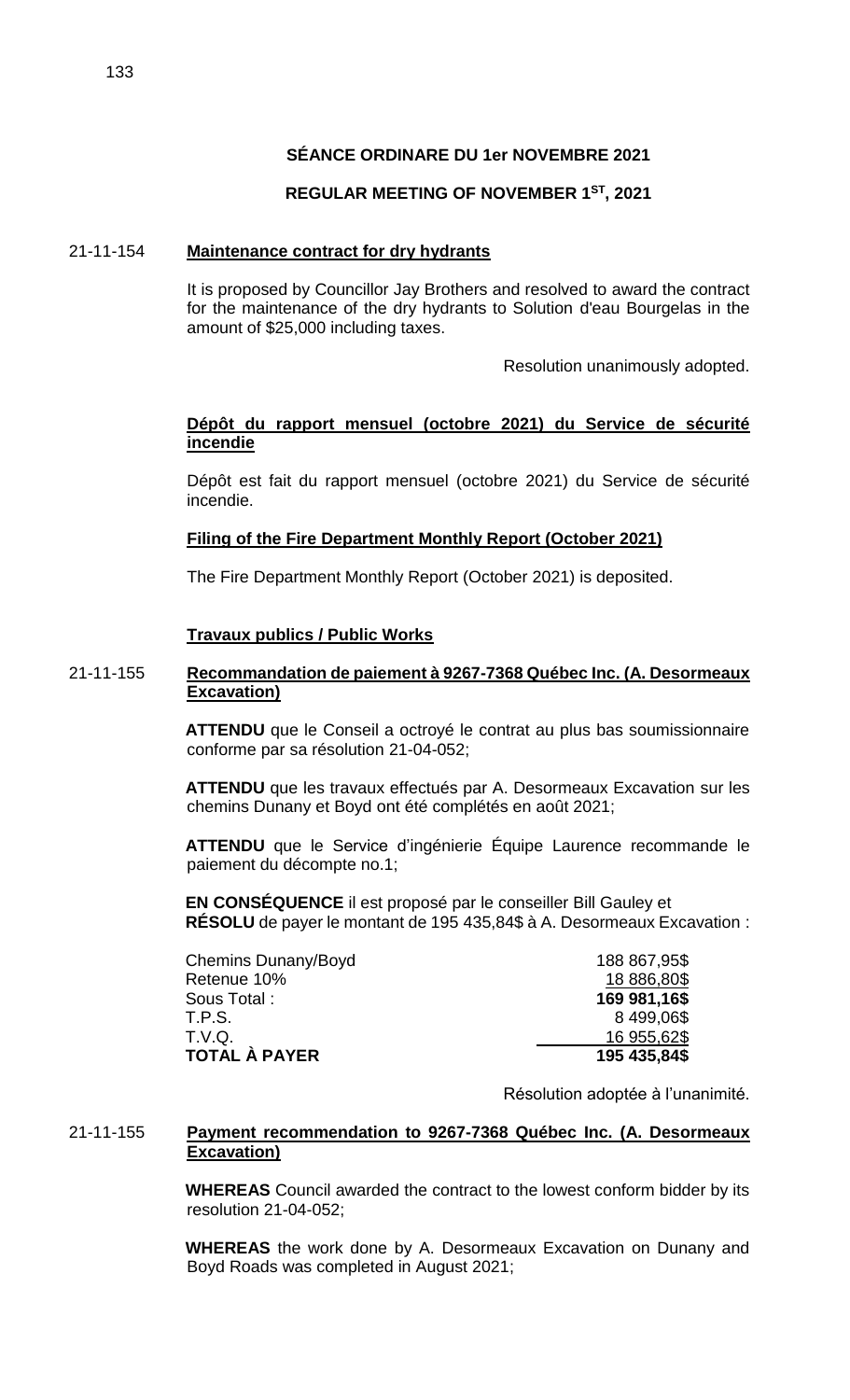## **REGULAR MEETING OF NOVEMBER 1ST, 2021**

#### 21-11-154 **Maintenance contract for dry hydrants**

It is proposed by Councillor Jay Brothers and resolved to award the contract for the maintenance of the dry hydrants to Solution d'eau Bourgelas in the amount of \$25,000 including taxes.

Resolution unanimously adopted.

### **Dépôt du rapport mensuel (octobre 2021) du Service de sécurité incendie**

Dépôt est fait du rapport mensuel (octobre 2021) du Service de sécurité incendie.

### **Filing of the Fire Department Monthly Report (October 2021)**

The Fire Department Monthly Report (October 2021) is deposited.

### **Travaux publics / Public Works**

### 21-11-155 **Recommandation de paiement à 9267-7368 Québec Inc. (A. Desormeaux Excavation)**

**ATTENDU** que le Conseil a octroyé le contrat au plus bas soumissionnaire conforme par sa résolution 21-04-052;

**ATTENDU** que les travaux effectués par A. Desormeaux Excavation sur les chemins Dunany et Boyd ont été complétés en août 2021;

**ATTENDU** que le Service d'ingénierie Équipe Laurence recommande le paiement du décompte no.1;

**EN CONSÉQUENCE** il est proposé par le conseiller Bill Gauley et **RÉSOLU** de payer le montant de 195 435,84\$ à A. Desormeaux Excavation :

| Chemins Dunany/Boyd | 188 867,95\$ |
|---------------------|--------------|
| Retenue 10%         | 18 886,80\$  |
| Sous Total :        | 169 981,16\$ |
| T.P.S.              | 8499,06\$    |
| T.V.Q.              | 16 955,62\$  |
| TOTAL À PAYER       | 195 435,84\$ |

Résolution adoptée à l'unanimité.

### 21-11-155 **Payment recommendation to 9267-7368 Québec Inc. (A. Desormeaux Excavation)**

**WHEREAS** Council awarded the contract to the lowest conform bidder by its resolution 21-04-052;

**WHEREAS** the work done by A. Desormeaux Excavation on Dunany and Boyd Roads was completed in August 2021;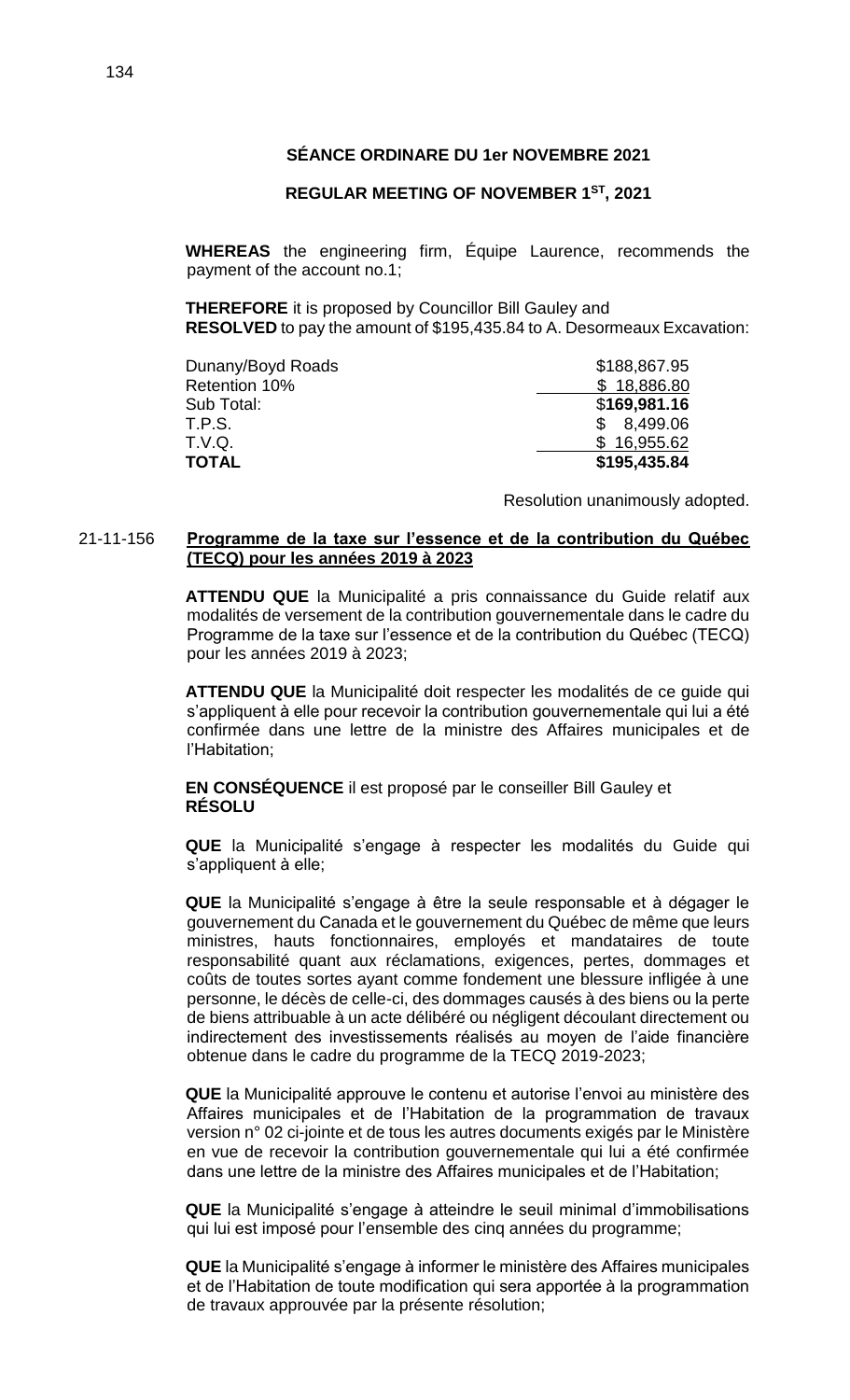### **REGULAR MEETING OF NOVEMBER 1ST, 2021**

**WHEREAS** the engineering firm, Équipe Laurence, recommends the payment of the account no.1;

**THEREFORE** it is proposed by Councillor Bill Gauley and **RESOLVED** to pay the amount of \$195,435.84 to A. Desormeaux Excavation:

| Dunany/Boyd Roads | \$188,867.95              |
|-------------------|---------------------------|
| Retention 10%     | \$18,886.80               |
| Sub Total:        | \$169,981.16              |
| T.P.S.            | 8,499.06<br>$\mathcal{S}$ |
| T.V.Q.            | \$16,955.62               |
| <b>TOTAL</b>      | \$195,435.84              |

Resolution unanimously adopted.

#### 21-11-156 **Programme de la taxe sur l'essence et de la contribution du Québec (TECQ) pour les années 2019 à 2023**

**ATTENDU QUE** la Municipalité a pris connaissance du Guide relatif aux modalités de versement de la contribution gouvernementale dans le cadre du Programme de la taxe sur l'essence et de la contribution du Québec (TECQ) pour les années 2019 à 2023;

**ATTENDU QUE** la Municipalité doit respecter les modalités de ce guide qui s'appliquent à elle pour recevoir la contribution gouvernementale qui lui a été confirmée dans une lettre de la ministre des Affaires municipales et de l'Habitation;

**EN CONSÉQUENCE** il est proposé par le conseiller Bill Gauley et **RÉSOLU** 

**QUE** la Municipalité s'engage à respecter les modalités du Guide qui s'appliquent à elle;

**QUE** la Municipalité s'engage à être la seule responsable et à dégager le gouvernement du Canada et le gouvernement du Québec de même que leurs ministres, hauts fonctionnaires, employés et mandataires de toute responsabilité quant aux réclamations, exigences, pertes, dommages et coûts de toutes sortes ayant comme fondement une blessure infligée à une personne, le décès de celle-ci, des dommages causés à des biens ou la perte de biens attribuable à un acte délibéré ou négligent découlant directement ou indirectement des investissements réalisés au moyen de l'aide financière obtenue dans le cadre du programme de la TECQ 2019-2023;

**QUE** la Municipalité approuve le contenu et autorise l'envoi au ministère des Affaires municipales et de l'Habitation de la programmation de travaux version n° 02 ci-jointe et de tous les autres documents exigés par le Ministère en vue de recevoir la contribution gouvernementale qui lui a été confirmée dans une lettre de la ministre des Affaires municipales et de l'Habitation;

**QUE** la Municipalité s'engage à atteindre le seuil minimal d'immobilisations qui lui est imposé pour l'ensemble des cinq années du programme;

**QUE** la Municipalité s'engage à informer le ministère des Affaires municipales et de l'Habitation de toute modification qui sera apportée à la programmation de travaux approuvée par la présente résolution;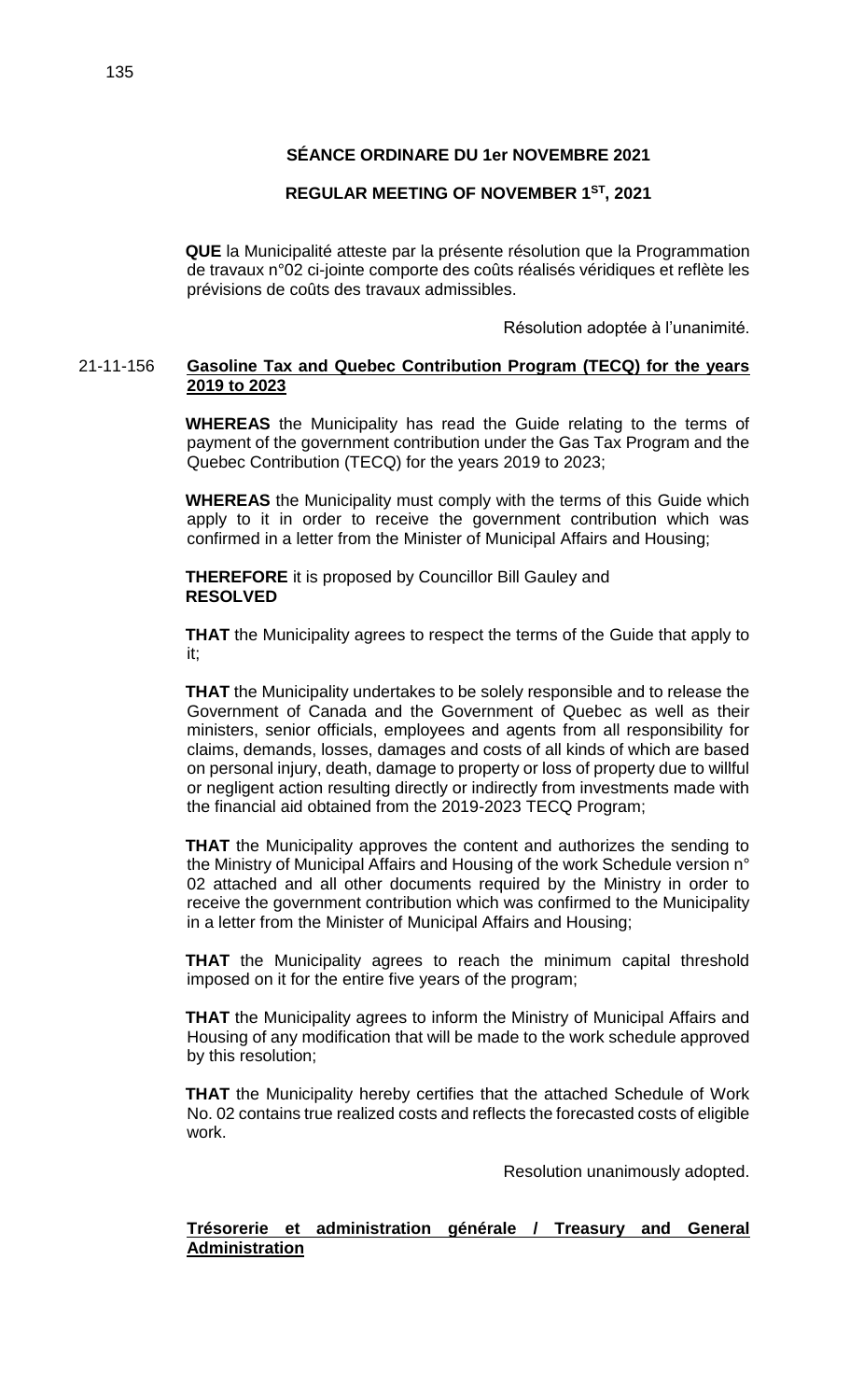# **REGULAR MEETING OF NOVEMBER 1ST, 2021**

**QUE** la Municipalité atteste par la présente résolution que la Programmation de travaux n°02 ci-jointe comporte des coûts réalisés véridiques et reflète les prévisions de coûts des travaux admissibles.

Résolution adoptée à l'unanimité.

## 21-11-156 **Gasoline Tax and Quebec Contribution Program (TECQ) for the years 2019 to 2023**

**WHEREAS** the Municipality has read the Guide relating to the terms of payment of the government contribution under the Gas Tax Program and the Quebec Contribution (TECQ) for the years 2019 to 2023;

**WHEREAS** the Municipality must comply with the terms of this Guide which apply to it in order to receive the government contribution which was confirmed in a letter from the Minister of Municipal Affairs and Housing;

**THEREFORE** it is proposed by Councillor Bill Gauley and **RESOLVED**

**THAT** the Municipality agrees to respect the terms of the Guide that apply to it;

**THAT** the Municipality undertakes to be solely responsible and to release the Government of Canada and the Government of Quebec as well as their ministers, senior officials, employees and agents from all responsibility for claims, demands, losses, damages and costs of all kinds of which are based on personal injury, death, damage to property or loss of property due to willful or negligent action resulting directly or indirectly from investments made with the financial aid obtained from the 2019-2023 TECQ Program;

**THAT** the Municipality approves the content and authorizes the sending to the Ministry of Municipal Affairs and Housing of the work Schedule version n° 02 attached and all other documents required by the Ministry in order to receive the government contribution which was confirmed to the Municipality in a letter from the Minister of Municipal Affairs and Housing;

**THAT** the Municipality agrees to reach the minimum capital threshold imposed on it for the entire five years of the program;

**THAT** the Municipality agrees to inform the Ministry of Municipal Affairs and Housing of any modification that will be made to the work schedule approved by this resolution;

**THAT** the Municipality hereby certifies that the attached Schedule of Work No. 02 contains true realized costs and reflects the forecasted costs of eligible work.

Resolution unanimously adopted.

## **Trésorerie et administration générale / Treasury and General Administration**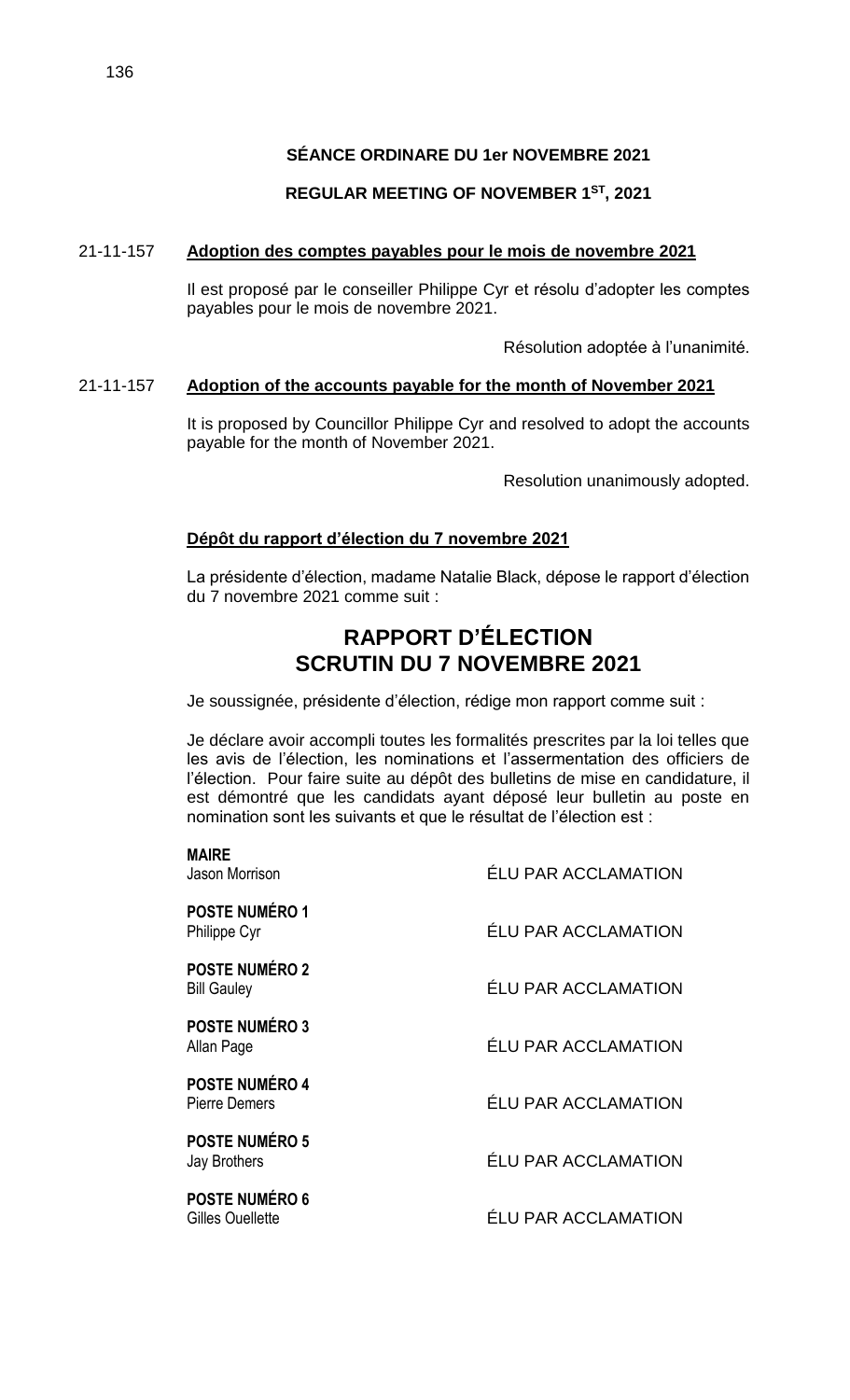# **REGULAR MEETING OF NOVEMBER 1ST, 2021**

# 21-11-157 **Adoption des comptes payables pour le mois de novembre 2021**

Il est proposé par le conseiller Philippe Cyr et résolu d'adopter les comptes payables pour le mois de novembre 2021.

Résolution adoptée à l'unanimité.

# 21-11-157 **Adoption of the accounts payable for the month of November 2021**

It is proposed by Councillor Philippe Cyr and resolved to adopt the accounts payable for the month of November 2021.

Resolution unanimously adopted.

# **Dépôt du rapport d'élection du 7 novembre 2021**

La présidente d'élection, madame Natalie Black, dépose le rapport d'élection du 7 novembre 2021 comme suit :

# **RAPPORT D'ÉLECTION SCRUTIN DU 7 NOVEMBRE 2021**

Je soussignée, présidente d'élection, rédige mon rapport comme suit :

Je déclare avoir accompli toutes les formalités prescrites par la loi telles que les avis de l'élection, les nominations et l'assermentation des officiers de l'élection. Pour faire suite au dépôt des bulletins de mise en candidature, il est démontré que les candidats ayant déposé leur bulletin au poste en nomination sont les suivants et que le résultat de l'élection est :

| <b>ÉLU PAR ACCLAMATION</b> |
|----------------------------|
| <b>ÉLU PAR ACCLAMATION</b> |
| <b>ÉLU PAR ACCLAMATION</b> |
| <b>ÉLU PAR ACCLAMATION</b> |
| <b>ÉLU PAR ACCLAMATION</b> |
| ÉLU PAR ACCLAMATION        |
| <b>ÉLU PAR ACCLAMATION</b> |
|                            |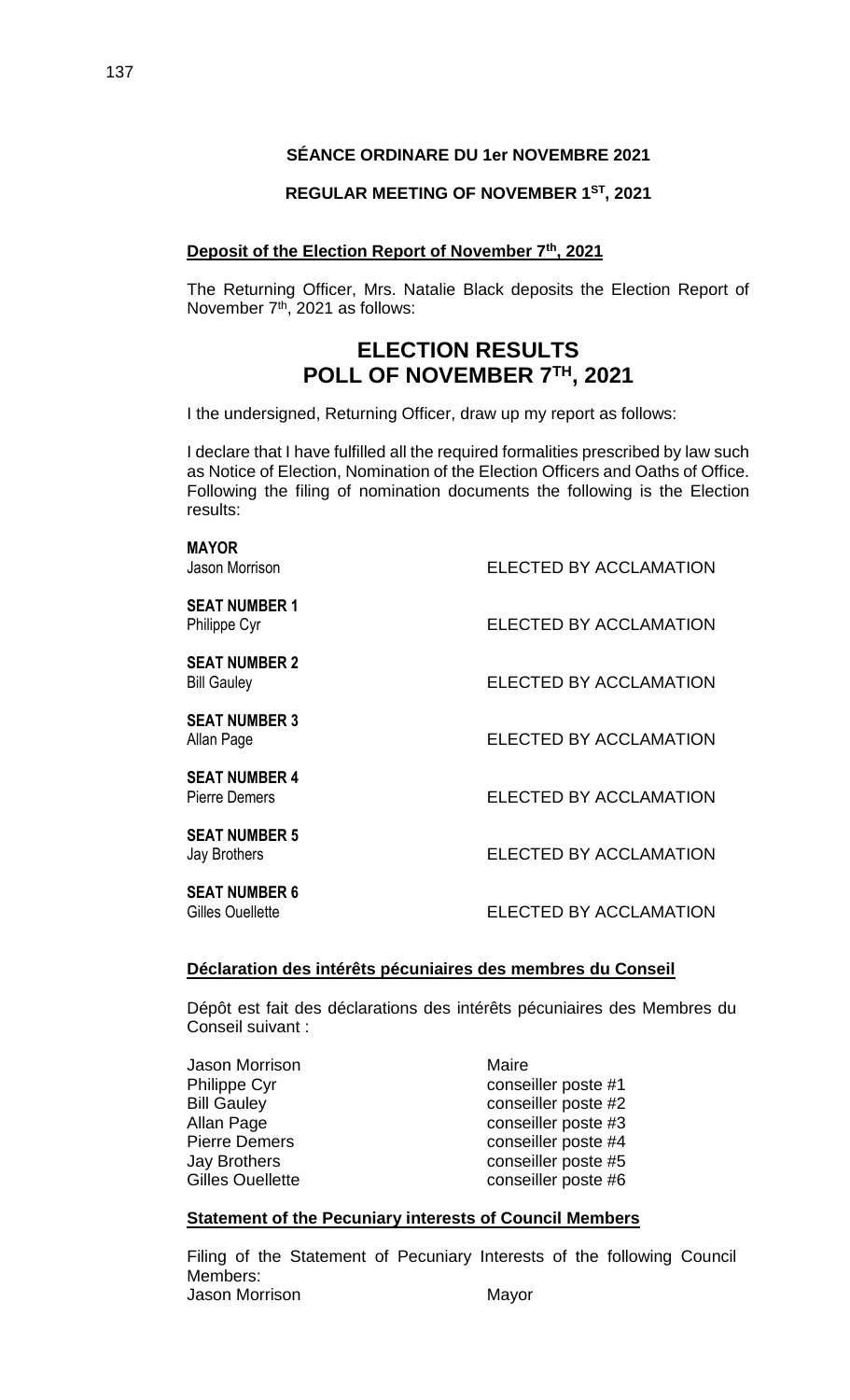### **REGULAR MEETING OF NOVEMBER 1ST, 2021**

### **Deposit of the Election Report of November 7th, 2021**

The Returning Officer, Mrs. Natalie Black deposits the Election Report of November 7<sup>th</sup>, 2021 as follows:

# **ELECTION RESULTS POLL OF NOVEMBER 7TH, 2021**

I the undersigned, Returning Officer, draw up my report as follows:

I declare that I have fulfilled all the required formalities prescribed by law such as Notice of Election, Nomination of the Election Officers and Oaths of Office. Following the filing of nomination documents the following is the Election results:

| <b>MAYOR</b><br>Jason Morrison               | ELECTED BY ACCLAMATION        |
|----------------------------------------------|-------------------------------|
| <b>SEAT NUMBER 1</b><br>Philippe Cyr         | <b>ELECTED BY ACCLAMATION</b> |
| <b>SEAT NUMBER 2</b><br><b>Bill Gauley</b>   | <b>ELECTED BY ACCLAMATION</b> |
| <b>SEAT NUMBER 3</b><br>Allan Page           | ELECTED BY ACCLAMATION        |
| <b>SEAT NUMBER 4</b><br><b>Pierre Demers</b> | <b>ELECTED BY ACCLAMATION</b> |
| <b>SEAT NUMBER 5</b><br>Jay Brothers         | ELECTED BY ACCLAMATION        |
| <b>SEAT NUMBER 6</b><br>Gilles Ouellette     | <b>ELECTED BY ACCLAMATION</b> |
|                                              |                               |

# **Déclaration des intérêts pécuniaires des membres du Conseil**

Dépôt est fait des déclarations des intérêts pécuniaires des Membres du Conseil suivant :

| Jason Morrison      |  |
|---------------------|--|
| Philippe Cyr        |  |
| <b>Bill Gauley</b>  |  |
| Allan Page          |  |
| Pierre Demers       |  |
| <b>Jay Brothers</b> |  |
| Gilles Ouellette    |  |
|                     |  |

Maire conseiller poste #1 conseiller poste #2 conseiller poste #3 conseiller poste #4 conseiller poste #5 conseiller poste #6

#### **Statement of the Pecuniary interests of Council Members**

Filing of the Statement of Pecuniary Interests of the following Council Members: Jason Morrison **Mayor** Mayor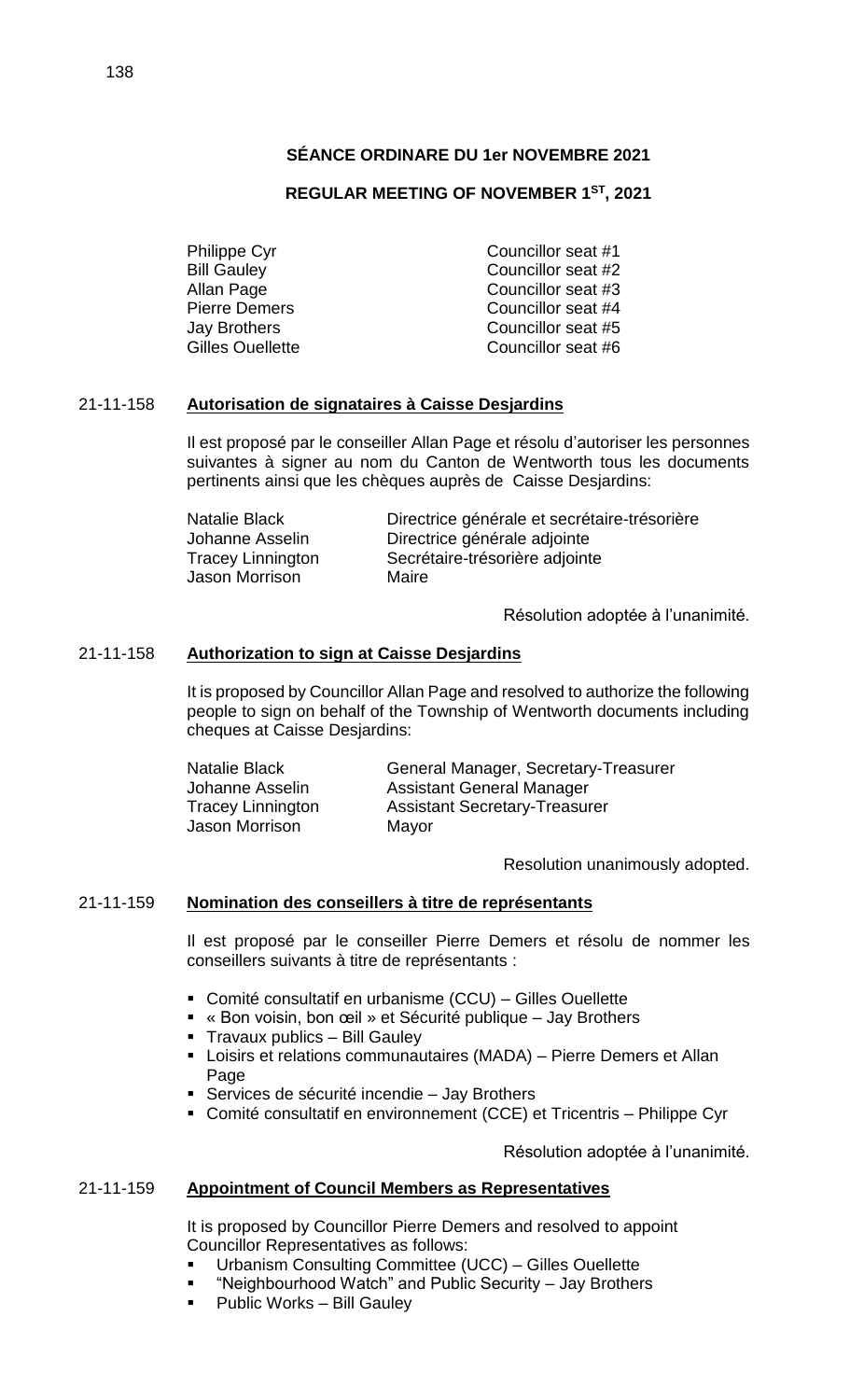# **REGULAR MEETING OF NOVEMBER 1ST, 2021**

Philippe Cyr Councillor seat #1 Bill Gauley **Councillor** seat #2 Allan Page **Councillor** seat #3 Pierre Demers Councillor seat #4 Jay Brothers Councillor seat #5 Gilles Ouellette **Councillor** seat #6

## 21-11-158 **Autorisation de signataires à Caisse Desjardins**

Il est proposé par le conseiller Allan Page et résolu d'autoriser les personnes suivantes à signer au nom du Canton de Wentworth tous les documents pertinents ainsi que les chèques auprès de Caisse Desjardins:

| Natalie Black            | Directrice générale et secrétaire-trésorière |
|--------------------------|----------------------------------------------|
| Johanne Asselin          | Directrice générale adjointe                 |
| <b>Tracey Linnington</b> | Secrétaire-trésorière adjointe               |
| Jason Morrison           | Maire                                        |

Résolution adoptée à l'unanimité.

### 21-11-158 **Authorization to sign at Caisse Desjardins**

It is proposed by Councillor Allan Page and resolved to authorize the following people to sign on behalf of the Township of Wentworth documents including cheques at Caisse Desjardins:

| Natalie Black     | General Manager, Secretary-Treasurer |
|-------------------|--------------------------------------|
| Johanne Asselin   | <b>Assistant General Manager</b>     |
| Tracey Linnington | <b>Assistant Secretary-Treasurer</b> |
| Jason Morrison    | Mayor                                |

Resolution unanimously adopted.

#### 21-11-159 **Nomination des conseillers à titre de représentants**

Il est proposé par le conseiller Pierre Demers et résolu de nommer les conseillers suivants à titre de représentants :

- Comité consultatif en urbanisme (CCU) Gilles Ouellette
- « Bon voisin, bon œil » et Sécurité publique Jay Brothers
- **Travaux publics Bill Gauley**
- Loisirs et relations communautaires (MADA) Pierre Demers et Allan Page
- Services de sécurité incendie Jay Brothers
- Comité consultatif en environnement (CCE) et Tricentris Philippe Cyr

Résolution adoptée à l'unanimité.

### 21-11-159 **Appointment of Council Members as Representatives**

It is proposed by Councillor Pierre Demers and resolved to appoint Councillor Representatives as follows:

- Urbanism Consulting Committee (UCC) Gilles Ouellette
- "Neighbourhood Watch" and Public Security Jay Brothers
- Public Works Bill Gauley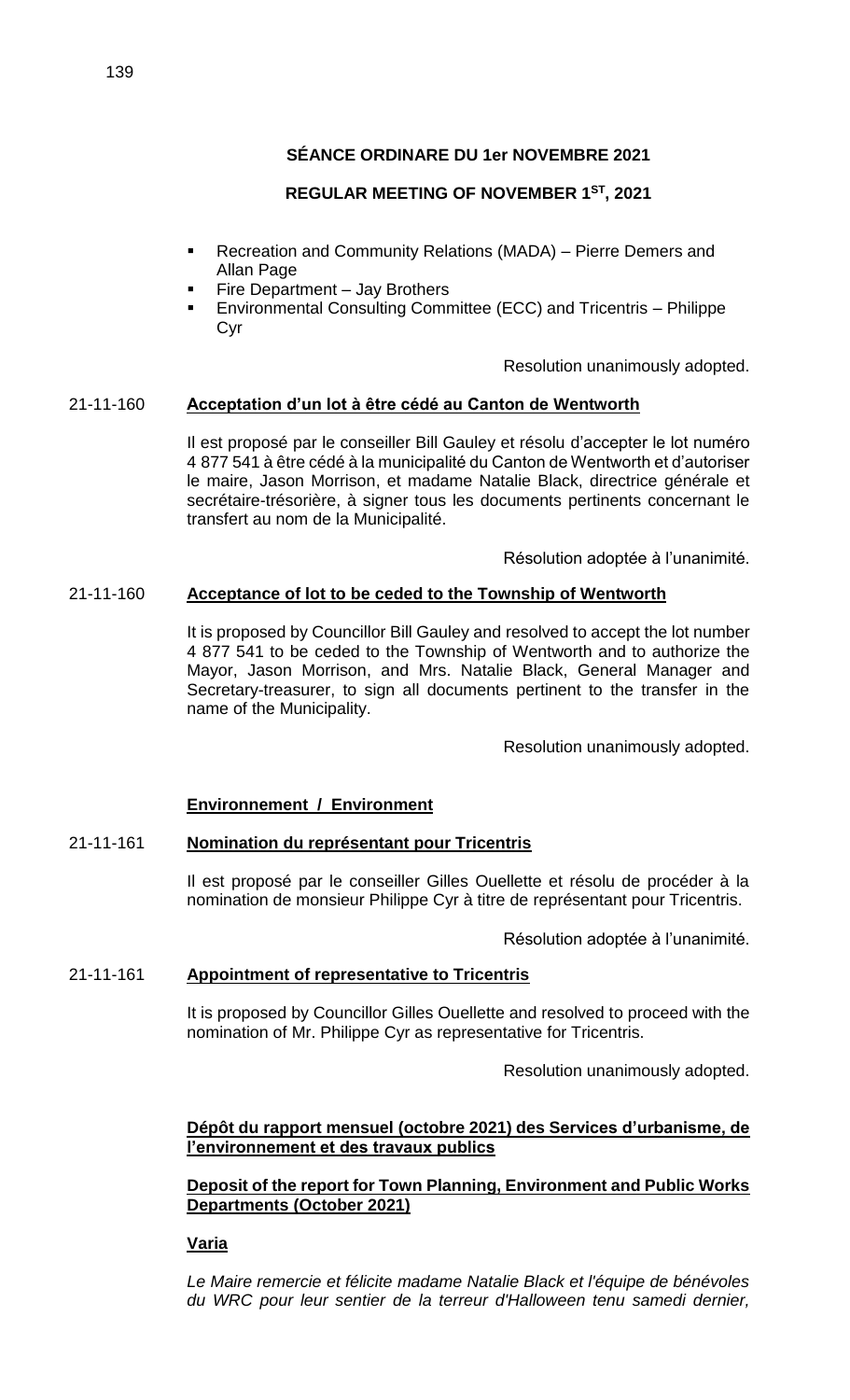# **REGULAR MEETING OF NOVEMBER 1ST, 2021**

- Recreation and Community Relations (MADA) Pierre Demers and Allan Page
- Fire Department Jay Brothers
- Environmental Consulting Committee (ECC) and Tricentris Philippe Cyr

Resolution unanimously adopted.

## 21-11-160 **Acceptation d'un lot à être cédé au Canton de Wentworth**

Il est proposé par le conseiller Bill Gauley et résolu d'accepter le lot numéro 4 877 541 à être cédé à la municipalité du Canton de Wentworth et d'autoriser le maire, Jason Morrison, et madame Natalie Black, directrice générale et secrétaire-trésorière, à signer tous les documents pertinents concernant le transfert au nom de la Municipalité.

Résolution adoptée à l'unanimité.

### 21-11-160 **Acceptance of lot to be ceded to the Township of Wentworth**

It is proposed by Councillor Bill Gauley and resolved to accept the lot number 4 877 541 to be ceded to the Township of Wentworth and to authorize the Mayor, Jason Morrison, and Mrs. Natalie Black, General Manager and Secretary-treasurer, to sign all documents pertinent to the transfer in the name of the Municipality.

Resolution unanimously adopted.

### **Environnement / Environment**

# 21-11-161 **Nomination du représentant pour Tricentris**

Il est proposé par le conseiller Gilles Ouellette et résolu de procéder à la nomination de monsieur Philippe Cyr à titre de représentant pour Tricentris.

Résolution adoptée à l'unanimité.

### 21-11-161 **Appointment of representative to Tricentris**

It is proposed by Councillor Gilles Ouellette and resolved to proceed with the nomination of Mr. Philippe Cyr as representative for Tricentris.

Resolution unanimously adopted.

**Dépôt du rapport mensuel (octobre 2021) des Services d'urbanisme, de l'environnement et des travaux publics**

### **Deposit of the report for Town Planning, Environment and Public Works Departments (October 2021)**

### **Varia**

*Le Maire remercie et félicite madame Natalie Black et l'équipe de bénévoles du WRC pour leur sentier de la terreur d'Halloween tenu samedi dernier,*